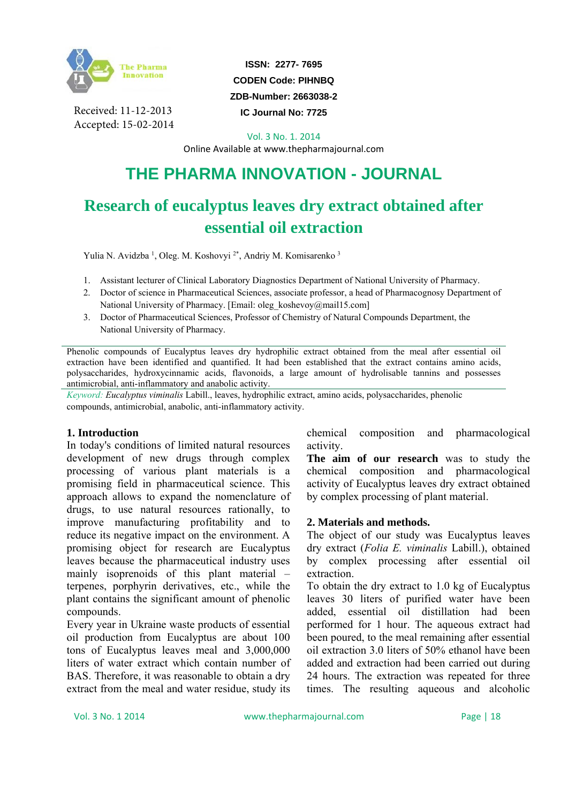

Received: 11-12-2013 Accepted: 15-02-2014

**ISSN: 2277- 7695 CODEN Code: PIHNBQ ZDB-Number: 2663038-2** 

**IC Journal No: 7725** 

Vol. 3 No. 1. 2014

Online Available at www.thepharmajournal.com

# **THE PHARMA INNOVATION - JOURNAL**

## **Research of eucalyptus leaves dry extract obtained after essential oil extraction**

Yulia N. Avidzba<sup>1</sup>, Oleg. M. Koshovyi<sup>2\*</sup>, Andriy M. Komisarenko<sup>3</sup>

- 1. Assistant lecturer of Clinical Laboratory Diagnostics Department of National University of Pharmacy.
- 2. Doctor of science in Pharmaceutical Sciences, associate professor, a head of Pharmacognosy Department of National University of Pharmacy. [Email: oleg\_koshevoy@mail15.com]
- 3. Doctor of Pharmaceutical Sciences, Professor of Chemistry of Natural Compounds Department, the National University of Pharmacy.

Phenolic compounds of Eucalyptus leaves dry hydrophilic extract obtained from the meal after essential oil extraction have been identified and quantified. It had been established that the extract contains amino acids, polysaccharides, hydroxycinnamic acids, flavonoids, a large amount of hydrolisable tannins and possesses antimicrobial, anti-inflammatory and anabolic activity.

*Keyword: Eucalyptus viminalis* Labill., leaves, hydrophilic extract, amino acids, polysaccharides, phenolic compounds, antimicrobial, anabolic, anti-inflammatory activity.

#### **1. Introduction**

In today's conditions of limited natural resources development of new drugs through complex processing of various plant materials is a promising field in pharmaceutical science. This approach allows to expand the nomenclature of drugs, to use natural resources rationally, to improve manufacturing profitability and to reduce its negative impact on the environment. A promising object for research are Eucalyptus leaves because the pharmaceutical industry uses mainly isoprenoids of this plant material – terpenes, porphyrin derivatives, etc., while the plant contains the significant amount of phenolic compounds.

Every year in Ukraine waste products of essential oil production from Eucalyptus are about 100 tons of Eucalyptus leaves meal and 3,000,000 liters of water extract which contain number of BAS. Therefore, it was reasonable to obtain a dry extract from the meal and water residue, study its chemical composition and pharmacological activity.

**The aim of our research** was to study the chemical composition and pharmacological activity of Eucalyptus leaves dry extract obtained by complex processing of plant material.

#### **2. Materials and methods.**

The object of our study was Eucalyptus leaves dry extract (*Folia E. viminalis* Labill.), obtained by complex processing after essential oil extraction.

To obtain the dry extract to 1.0 kg of Eucalyptus leaves 30 liters of purified water have been added, essential oil distillation had been performed for 1 hour. The aqueous extract had been poured, to the meal remaining after essential oil extraction 3.0 liters of 50% ethanol have been added and extraction had been carried out during 24 hours. The extraction was repeated for three times. The resulting aqueous and alcoholic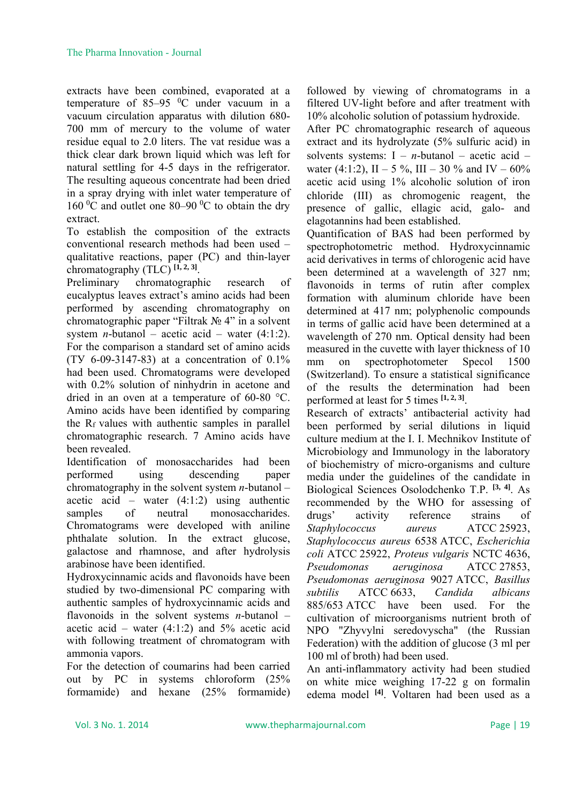extracts have been combined, evaporated at a temperature of  $85-95$  °C under vacuum in a vacuum circulation apparatus with dilution 680- 700 mm of mercury to the volume of water residue equal to 2.0 liters. The vat residue was a thick clear dark brown liquid which was left for natural settling for 4-5 days in the refrigerator. The resulting aqueous concentrate had been dried in a spray drying with inlet water temperature of 160  $\rm{^0C}$  and outlet one 80–90  $\rm{^0C}$  to obtain the dry extract.

To establish the composition of the extracts conventional research methods had been used – qualitative reactions, paper (PC) and thin-layer chromatography (TLC) **[1, 2, 3]**.

Preliminary chromatographic research of eucalyptus leaves extract's amino acids had been performed by ascending chromatography on chromatographic paper "Filtrak № 4" in a solvent system *n*-butanol – acetic acid – water  $(4:1:2)$ . For the comparison a standard set of amino acids (ТУ 6-09-3147-83) at a concentration of 0.1% had been used. Chromatograms were developed with 0.2% solution of ninhydrin in acetone and dried in an oven at a temperature of 60-80 °C. Amino acids have been identified by comparing the Rf values with authentic samples in parallel chromatographic research. 7 Amino acids have been revealed.

Identification of monosaccharides had been performed using descending paper chromatography in the solvent system *n*-butanol – acetic acid – water  $(4:1:2)$  using authentic samples of neutral monosaccharides. Chromatograms were developed with aniline phthalate solution. In the extract glucose, galactose and rhamnose, and after hydrolysis arabinose have been identified.

Hydroxycinnamic acids and flavonoids have been studied by two-dimensional PC comparing with authentic samples of hydroxycinnamic acids and flavonoids in the solvent systems *n*-butanol – acetic acid – water  $(4:1:2)$  and 5% acetic acid with following treatment of chromatogram with ammonia vapors.

For the detection of coumarins had been carried out by PC in systems chloroform (25% formamide) and hexane (25% formamide) followed by viewing of chromatograms in a filtered UV-light before and after treatment with 10% alcoholic solution of potassium hydroxide.

After PC chromatographic research of aqueous extract and its hydrolyzate (5% sulfuric acid) in solvents systems:  $I - n$ -butanol – acetic acid – water (4:1:2),  $II - 5\%$ ,  $III - 30\%$  and  $IV - 60\%$ acetic acid using 1% alcoholic solution of iron chloride (III) as chromogenic reagent, the presence of gallic, ellagic acid, galo- and elagotannins had been established.

Quantification of BAS had been performed by spectrophotometric method. Hydroxycinnamic acid derivatives in terms of chlorogenic acid have been determined at a wavelength of 327 nm; flavonoids in terms of rutin after complex formation with aluminum chloride have been determined at 417 nm; polyphenolic compounds in terms of gallic acid have been determined at a wavelength of 270 nm. Optical density had been measured in the cuvette with layer thickness of 10 mm on spectrophotometer Specol 1500 (Switzerland). To ensure a statistical significance of the results the determination had been performed at least for 5 times **[1, 2, 3]**.

Research of extracts' antibacterial activity had been performed by serial dilutions in liquid culture medium at the I. I. Mechnikov Institute of Microbiology and Immunology in the laboratory of biochemistry of micro-organisms and culture media under the guidelines of the candidate in Biological Sciences Osolodchenko T.P. **[3, 4]**. As recommended by the WHO for assessing of drugs' activity reference strains of *Staphylococcus aureus* АТСС 25923, *Staphylococcus aureus* 6538 ATCC, *Escherichia coli* АТСС 25922, *Proteus vulgaris* NСТС 4636, *Pseudomonas aeruginosa* АТСС 27853, *Pseudomonas aeruginosa* 9027 ATCC, *Basillus subtilis* АТСС 6633, *Candida albicans* 885/653 ATCC have been used. For the cultivation of microorganisms nutrient broth of NPO "Zhyvylni seredovyscha" (the Russian Federation) with the addition of glucose (3 ml per 100 ml of broth) had been used.

An anti-inflammatory activity had been studied on white mice weighing 17-22 g on formalin edema model **[4]**. Voltaren had been used as a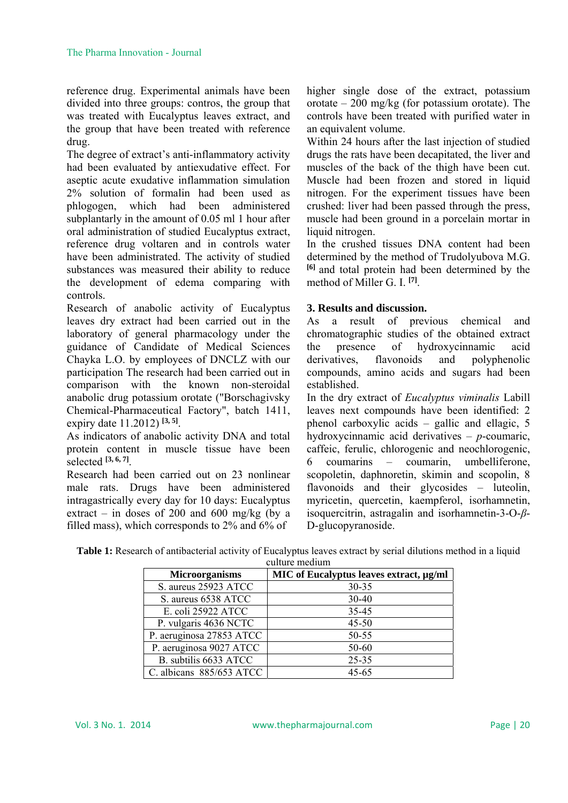reference drug. Experimental animals have been divided into three groups: contros, the group that was treated with Eucalyptus leaves extract, and the group that have been treated with reference drug.

The degree of extract's anti-inflammatory activity had been evaluated by antiexudative effect. For aseptic acute exudative inflammation simulation 2% solution of formalin had been used as phlogogen, which had been administered subplantarly in the amount of 0.05 ml 1 hour after oral administration of studied Eucalyptus extract, reference drug voltaren and in controls water have been administrated. The activity of studied substances was measured their ability to reduce the development of edema comparing with controls.

Research of anabolic activity of Eucalyptus leaves dry extract had been carried out in the laboratory of general pharmacology under the guidance of Candidate of Medical Sciences Chayka L.O. by employees of DNCLZ with our participation The research had been carried out in comparison with the known non-steroidal anabolic drug potassium orotate ("Borschagivsky Chemical-Pharmaceutical Factory", batch 1411, expiry date 11.2012) **[3, 5]**.

As indicators of anabolic activity DNA and total protein content in muscle tissue have been selected **[3, 6, 7]**.

Research had been carried out on 23 nonlinear male rats. Drugs have been administered intragastrically every day for 10 days: Eucalyptus extract – in doses of 200 and 600 mg/kg (by a filled mass), which corresponds to 2% and 6% of

higher single dose of the extract, potassium orotate  $-200$  mg/kg (for potassium orotate). The controls have been treated with purified water in an equivalent volume.

Within 24 hours after the last injection of studied drugs the rats have been decapitated, the liver and muscles of the back of the thigh have been cut. Muscle had been frozen and stored in liquid nitrogen. For the experiment tissues have been crushed: liver had been passed through the press, muscle had been ground in a porcelain mortar in liquid nitrogen.

In the crushed tissues DNA content had been determined by the method of Trudolyubova M.G. **[6]** and total protein had been determined by the method of Miller G. I. **[7]**.

### **3. Results and discussion.**

As a result of previous chemical and chromatographic studies of the obtained extract the presence of hydroxycinnamic acid derivatives, flavonoids and polyphenolic compounds, amino acids and sugars had been established.

In the dry extract of *Eucalyptus viminalis* Labill leaves next compounds have been identified: 2 phenol carboxylic acids – gallic and ellagic, 5 hydroxycinnamic acid derivatives – *p*-coumaric, caffeic, ferulic, chlorogenic and neochlorogenic, 6 coumarins – coumarin, umbelliferone, scopoletin, daphnoretin, skimin and scopolin, 8 flavonoids and their glycosides – luteolin, myricetin, quercetin, kaempferol, isorhamnetin, isoquercitrin, astragalin and isorhamnetin-3-O-*β*-D-glucopyranoside.

| <b>Table 1:</b> Research of antibacterial activity of Eucalyptus leaves extract by serial dilutions method in a liquid |  |  |  |  |  |  |  |  |
|------------------------------------------------------------------------------------------------------------------------|--|--|--|--|--|--|--|--|
| ouburo modium                                                                                                          |  |  |  |  |  |  |  |  |

| <b>Microorganisms</b>    | MIC of Eucalyptus leaves extract, µg/ml |
|--------------------------|-----------------------------------------|
| S. aureus 25923 ATCC     | 30-35                                   |
| S. aureus 6538 ATCC      | $30 - 40$                               |
| E. coli 25922 ATCC       | 35-45                                   |
| P. vulgaris 4636 NCTC    | $45 - 50$                               |
| P. aeruginosa 27853 ATCC | 50-55                                   |
| P. aeruginosa 9027 ATCC  | 50-60                                   |
| B. subtilis 6633 ATCC    | $25 - 35$                               |
| C. albicans 885/653 ATCC | $45 - 65$                               |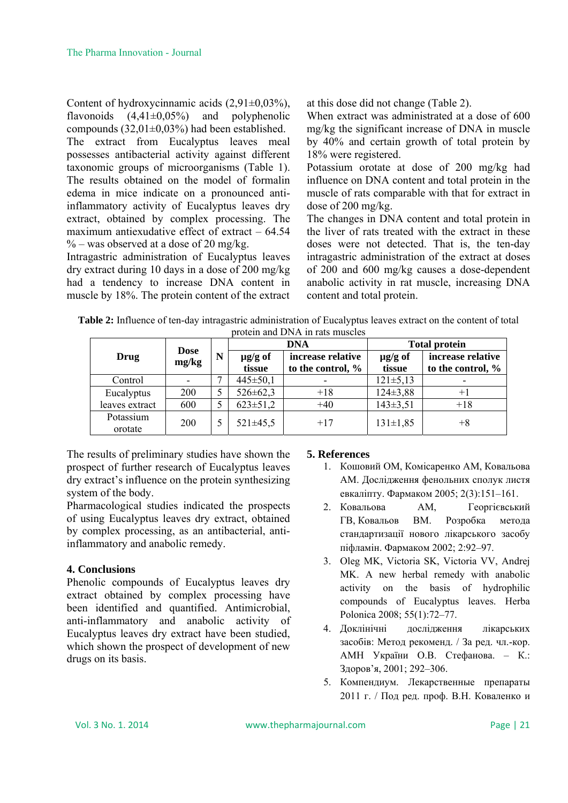Content of hydroxycinnamic acids  $(2,91\pm0,03\%)$ , flavonoids  $(4,41\pm0,05\%)$  and polyphenolic compounds (32,01±0,03%) had been established. The extract from Eucalyptus leaves meal possesses antibacterial activity against different taxonomic groups of microorganisms (Table 1). The results obtained on the model of formalin edema in mice indicate on a pronounced antiinflammatory activity of Eucalyptus leaves dry extract, obtained by complex processing. The maximum antiexudative effect of extract – 64.54  $\%$  – was observed at a dose of 20 mg/kg.

Intragastric administration of Eucalyptus leaves dry extract during 10 days in a dose of 200 mg/kg had a tendency to increase DNA content in muscle by 18%. The protein content of the extract at this dose did not change (Table 2).

When extract was administrated at a dose of 600 mg/kg the significant increase of DNA in muscle by 40% and certain growth of total protein by 18% were registered.

Potassium orotate at dose of 200 mg/kg had influence on DNA content and total protein in the muscle of rats comparable with that for extract in dose of 200 mg/kg.

The changes in DNA content and total protein in the liver of rats treated with the extract in these doses were not detected. That is, the ten-day intragastric administration of the extract at doses of 200 and 600 mg/kg causes a dose-dependent anabolic activity in rat muscle, increasing DNA content and total protein.

| Table 2: Influence of ten-day intragastric administration of Eucalyptus leaves extract on the content of total |  |
|----------------------------------------------------------------------------------------------------------------|--|
| nrotein and DNA in rats muscles                                                                                |  |

| 010.00111 0110 D . 11 . 111 . 000 1110.00100 |                      |   |                        |                                        |                        |                                        |  |  |
|----------------------------------------------|----------------------|---|------------------------|----------------------------------------|------------------------|----------------------------------------|--|--|
|                                              |                      |   | <b>DNA</b>             |                                        | <b>Total protein</b>   |                                        |  |  |
| Drug                                         | <b>Dose</b><br>mg/kg | N | $\mu$ g/g of<br>tissue | increase relative<br>to the control, % | $\mu$ g/g of<br>tissue | increase relative<br>to the control, % |  |  |
| Control                                      |                      |   | $445 \pm 50,1$         |                                        | $121 \pm 5,13$         |                                        |  |  |
| Eucalyptus                                   | 200                  |   | $526 \pm 62,3$         | $+18$                                  | $124 \pm 3.88$         | $+1$                                   |  |  |
| leaves extract                               | 600                  |   | $623 \pm 51.2$         | $+40$                                  | $143 \pm 3.51$         | $+18$                                  |  |  |
| Potassium<br>orotate                         | 200                  |   | $521 \pm 45.5$         | $+17$                                  | $131 \pm 1,85$         | +8                                     |  |  |

The results of preliminary studies have shown the prospect of further research of Eucalyptus leaves dry extract's influence on the protein synthesizing system of the body.

Pharmacological studies indicated the prospects of using Eucalyptus leaves dry extract, obtained by complex processing, as an antibacterial, antiinflammatory and anabolic remedy.

#### **4. Conclusions**

Phenolic compounds of Eucalyptus leaves dry extract obtained by complex processing have been identified and quantified. Antimicrobial, anti-inflammatory and anabolic activity of Eucalyptus leaves dry extract have been studied, which shown the prospect of development of new drugs on its basis.

#### **5. References**

- 1. Кошовий ОМ, Комісаренко АМ, Ковальова АМ. Дослідження фенольних сполук листя евкаліпту. Фармаком 2005; 2(3):151–161.
- 2. Ковальова АМ, Георгієвський ГВ, Ковальов ВМ. Розробка метода стандартизації нового лікарського засобу піфламін. Фармаком 2002; 2:92–97.
- 3. Oleg MK, Victoria SK, Victoria VV, Andrej MK. A new herbal remedy with anabolic activity on the basis of hydrophilic compounds of Eucalyptus leaves. Herba Polonica 2008; 55(1):72–77.
- 4. Доклінічні дослідження лікарських засобів: Метод рекоменд. / За ред. чл.-кор. АМН України О.В. Стефанова. – К.: Здоров'я, 2001; 292–306.
- 5. Компендиум. Лекарственные препараты 2011 г. / Под ред. проф. В.Н. Коваленко и